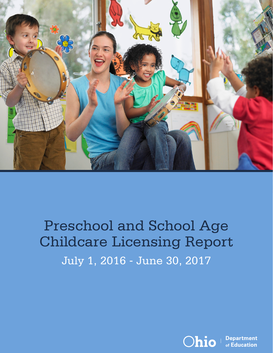

## Preschool and School Age Childcare Licensing Report July 1, 2016 - June 30, 2017



**Department** of Education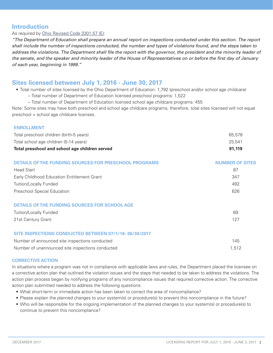## **Introduction**

#### As required by [Ohio Revised Code 3301.57 \(E\)](http://codes.ohio.gov/orc/3301.57):

*"The Department of Education shall prepare an annual report on inspections conducted under this section. The report shall include the number of inspections conducted, the number and types of violations found, and the steps taken to address the violations. The Department shall file the report with the governor, the president and the minority leader of the senate, and the speaker and minority leader of the House of Representatives on or before the first day of January of each year, beginning in 1999."*

### **Sites licensed between July 1, 2016 - June 30, 2017**

• Total number of sites licensed by the Ohio Department of Education: 1,792 (preschool and/or school age childcare)

– Total number of Department of Education licensed preschool programs: 1,522

– Total number of Department of Education licensed school age childcare programs: 455

Note: Some sites may have both preschool and school age childcare programs, therefore, total sites licensed will not equal preschool + school age childcare licenses.

#### **ENROLLMENT**

| Total preschool children (birth-5 years)       | 65.578 |
|------------------------------------------------|--------|
| Total school age children (5-14 years)         | 25.541 |
| Total preschool and school age children served | 91.119 |

| <b>DETAILS OF THE FUNDING SOURCES FOR PRESCHOOL PROGRAMS</b> | <b>NUMBER OF SITES</b> |
|--------------------------------------------------------------|------------------------|
| <b>Head Start</b>                                            | 87                     |
| Early Childhood Education Entitlement Grant                  | 347                    |
| <b>Tuition/Locally Funded</b>                                | 492                    |
| <b>Preschool Special Education</b>                           | 626                    |
| DETAILS OF THE FUNDING SOURCES FOR SCHOOL AGE                |                        |
| <b>Tuition/Locally Funded</b>                                | 69                     |
| 21st Century Grant                                           | 127                    |
| SITE INSPECTIONS CONDUCTED BETWEEN 07/1/16-06/30/2017        |                        |
| Number of announced site inspections conducted               | 145                    |

Number of unannounced site inspections conducted 1,512

#### **CORRECTIVE ACTION**

In situations where a program was not in compliance with applicable laws and rules, the Department placed the licensee on a corrective action plan that outlined the violation issues and the steps that needed to be taken to address the violations. The action plan process began by notifying programs of any noncompliance issues that required corrective action. The corrective action plan submitted needed to address the following questions:

- What short-term or immediate action has been taken to correct the area of noncompliance?
- Please explain the planned changes to your system(s) or procedure(s) to prevent this noncompliance in the future?
- Who will be responsible for the ongoing implementation of the planned changes to your system(s) or procedure(s) to continue to prevent this noncompliance?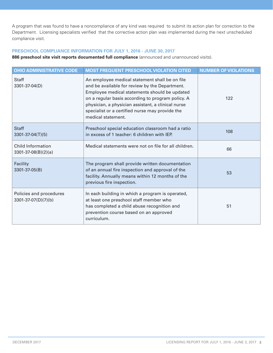A program that was found to have a noncompliance of any kind was required to submit its action plan for correction to the Department. Licensing specialists verified that the corrective action plan was implemented during the next unscheduled compliance visit.

## **PRESCHOOL COMPLIANCE INFORMATION FOR JULY 1, 2016 - JUNE 30, 2017**

886 preschool site visit reports documented full compliance (announced and unannounced visits).

| <b>OHIO ADMINISTRATIVE CODE</b>                       | <b>MOST FREQUENT PRESCHOOL VIOLATION CITED</b>                                                                                                                                                                                                                                                                                        | <b>NUMBER OF VIOLATIONS</b> |
|-------------------------------------------------------|---------------------------------------------------------------------------------------------------------------------------------------------------------------------------------------------------------------------------------------------------------------------------------------------------------------------------------------|-----------------------------|
| <b>Staff</b><br>3301-37-04(D)                         | An employee medical statement shall be on file<br>and be available for review by the Department.<br>Employee medical statements should be updated<br>on a regular basis according to program policy. A<br>physician, a physician assistant, a clinical nurse<br>specialist or a certified nurse may provide the<br>medical statement. | 122                         |
| <b>Staff</b><br>$3301 - 37 - 04(T)(5)$                | Preschool special education classroom had a ratio<br>in excess of 1 teacher: 6 children with IEP.                                                                                                                                                                                                                                     | 108                         |
| <b>Child Information</b><br>$3301 - 37 - 08(B)(2)(a)$ | Medical statements were not on file for all children.                                                                                                                                                                                                                                                                                 | 66                          |
| Facility<br>3301-37-05(B)                             | The program shall provide written documentation<br>of an annual fire inspection and approval of the<br>facility. Annually means within 12 months of the<br>previous fire inspection.                                                                                                                                                  | 53                          |
| Policies and procedures<br>3301-37-07(D)(7)(b)        | In each building in which a program is operated,<br>at least one preschool staff member who<br>has completed a child abuse recognition and<br>prevention course based on an approved<br>curriculum.                                                                                                                                   | 51                          |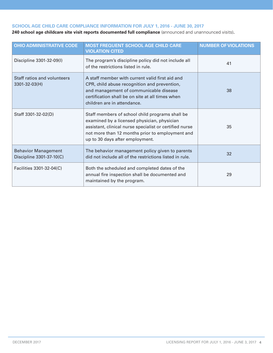## **SCHOOL AGE CHILD CARE COMPLIANCE INFORMATION FOR JULY 1, 2016 - JUNE 30, 2017**

**240 school age childcare site visit reports documented full compliance** (announced and unannounced visits)**.**

| <b>OHIO ADMINISTRATIVE CODE</b>                        | <b>MOST FREQUENT SCHOOL AGE CHILD CARE</b><br><b>VIOLATION CITED</b>                                                                                                                                                                            | <b>NUMBER OF VIOLATIONS</b> |
|--------------------------------------------------------|-------------------------------------------------------------------------------------------------------------------------------------------------------------------------------------------------------------------------------------------------|-----------------------------|
| Discipline 3301-32-09(I)                               | The program's discipline policy did not include all<br>of the restrictions listed in rule.                                                                                                                                                      | 41                          |
| Staff ratios and volunteers<br>3301-32-03(H)           | A staff member with current valid first aid and<br>CPR, child abuse recognition and prevention,<br>and management of communicable disease<br>certification shall be on site at all times when<br>children are in attendance.                    | 38                          |
| Staff 3301-32-02(D)                                    | Staff members of school child programs shall be<br>examined by a licensed physician, physician<br>assistant, clinical nurse specialist or certified nurse<br>not more than 12 months prior to employment and<br>up to 30 days after employment. | 35                          |
| <b>Behavior Management</b><br>Discipline 3301-37-10(C) | The behavior management policy given to parents<br>did not include all of the restrictions listed in rule.                                                                                                                                      | 32                          |
| Facilities 3301-32-04(C)                               | Both the scheduled and completed dates of the<br>annual fire inspection shall be documented and<br>maintained by the program.                                                                                                                   | 29                          |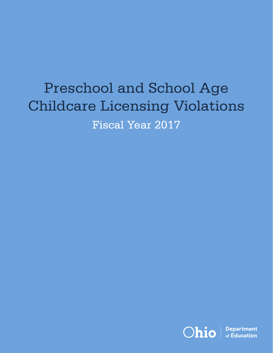# Preschool and School Age Childcare Licensing Violations Fiscal Year 2017

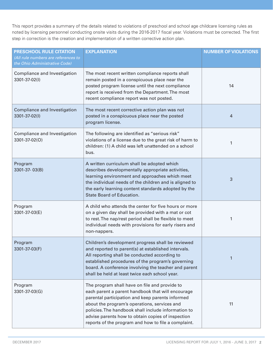This report provides a summary of the details related to violations of preschool and school age childcare licensing rules as noted by licensing personnel conducting onsite visits during the 2016-2017 fiscal year. Violations must be corrected. The first step in correction is the creation and implementation of a written corrective action plan.

| PRESCHOOL RULE CITATION<br>(All rule numbers are references to<br>the Ohio Administrative Code) | <b>EXPLANATION</b>                                                                                                                                                                                                                                                                                                                                                        | <b>NUMBER OF VIOLATIONS</b> |
|-------------------------------------------------------------------------------------------------|---------------------------------------------------------------------------------------------------------------------------------------------------------------------------------------------------------------------------------------------------------------------------------------------------------------------------------------------------------------------------|-----------------------------|
| Compliance and Investigation<br>3301-37-02(I)                                                   | The most recent written compliance reports shall<br>remain posted in a conspicuous place near the<br>posted program license until the next compliance<br>report is received from the Department. The most<br>recent compliance report was not posted.                                                                                                                     | 14                          |
| Compliance and Investigation<br>3301-37-02(I)                                                   | The most recent corrective action plan was not<br>posted in a conspicuous place near the posted<br>program license.                                                                                                                                                                                                                                                       | 4                           |
| Compliance and Investigation<br>3301-37-02(O)                                                   | The following are identified as "serious risk"<br>violations of a license due to the great risk of harm to<br>children: (1) A child was left unattended on a school<br>bus.                                                                                                                                                                                               | 1                           |
| Program<br>3301-37-03(B)                                                                        | A written curriculum shall be adopted which<br>describes developmentally appropriate activities,<br>learning environment and approaches which meet<br>the individual needs of the children and is aligned to<br>the early learning content standards adopted by the<br>State Board of Education.                                                                          | 3                           |
| Program<br>3301-37-03(E)                                                                        | A child who attends the center for five hours or more<br>on a given day shall be provided with a mat or cot<br>to rest. The nap/rest period shall be flexible to meet<br>individual needs with provisions for early risers and<br>non-nappers.                                                                                                                            | 1                           |
| Program<br>3301-37-03(F)                                                                        | Children's development progress shall be reviewed<br>and reported to parent(s) at established intervals.<br>All reporting shall be conducted according to<br>established procedures of the program's governing<br>board. A conference involving the teacher and parent<br>shall be held at least twice each school year.                                                  | 1                           |
| Program<br>3301-37-03(G)                                                                        | The program shall have on file and provide to<br>each parent a parent handbook that will encourage<br>parental participation and keep parents informed<br>about the program's operations, services and<br>policies. The handbook shall include information to<br>advise parents how to obtain copies of inspection<br>reports of the program and how to file a complaint. | 11                          |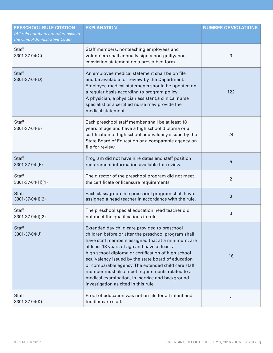| PRESCHOOL RULE CITATION<br>(All rule numbers are references to<br>the Ohio Administrative Code) | <b>EXPLANATION</b>                                                                                                                                                                                                                                                                                                                                                                                                                                                                                                            | <b>NUMBER OF VIOLATIONS</b> |
|-------------------------------------------------------------------------------------------------|-------------------------------------------------------------------------------------------------------------------------------------------------------------------------------------------------------------------------------------------------------------------------------------------------------------------------------------------------------------------------------------------------------------------------------------------------------------------------------------------------------------------------------|-----------------------------|
| <b>Staff</b><br>3301-37-04(C)                                                                   | Staff members, nonteaching employees and<br>volunteers shall annually sign a non-guilty/ non-<br>conviction statement on a prescribed form.                                                                                                                                                                                                                                                                                                                                                                                   | 3                           |
| <b>Staff</b><br>3301-37-04(D)                                                                   | An employee medical statement shall be on file<br>and be available for review by the Department.<br>Employee medical statements should be updated on<br>a regular basis according to program policy.<br>A physician, a physician assistant, a clinical nurse<br>specialist or a certified nurse may provide the<br>medical statement.                                                                                                                                                                                         | 122                         |
| <b>Staff</b><br>3301-37-04(E)                                                                   | Each preschool staff member shall be at least 18<br>years of age and have a high school diploma or a<br>certification of high school equivalency issued by the<br>State Board of Education or a comparable agency on<br>file for review.                                                                                                                                                                                                                                                                                      | 24                          |
| <b>Staff</b><br>3301-37-04 (F)                                                                  | Program did not have hire dates and staff position<br>requirement information available for review.                                                                                                                                                                                                                                                                                                                                                                                                                           | 5                           |
| <b>Staff</b><br>3301-37-04(H)(1)                                                                | The director of the preschool program did not meet<br>the certificate or licensure requirements                                                                                                                                                                                                                                                                                                                                                                                                                               | $\overline{2}$              |
| <b>Staff</b><br>3301-37-04(I)(2)                                                                | Each class/group in a preschool program shall have<br>assigned a head teacher in accordance with the rule.                                                                                                                                                                                                                                                                                                                                                                                                                    | 3                           |
| <b>Staff</b><br>3301-37-04(I)(2)                                                                | The preschool special education head teacher did<br>not meet the qualifications in rule.                                                                                                                                                                                                                                                                                                                                                                                                                                      | 3                           |
| <b>Staff</b><br>3301-37-04(J)                                                                   | Extended day child care provided to preschool<br>children before or after the preschool program shall<br>have staff members assigned that at a minimum, are<br>at least 18 years of age and have at least a<br>high school diploma or certification of high school<br>equivalency issued by the state board of education<br>or comparable agency. The extended child care staff<br>member must also meet requirements related to a<br>medical examination, in- service and background<br>investigation as cited in this rule. | 16                          |
| <b>Staff</b><br>3301-37-04(K)                                                                   | Proof of education was not on file for all infant and<br>toddler care staff.                                                                                                                                                                                                                                                                                                                                                                                                                                                  | 1                           |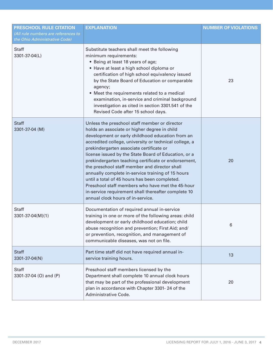| PRESCHOOL RULE CITATION<br>(All rule numbers are references to | <b>EXPLANATION</b>                                                                                                                                                                                                                                                                                                                                                                                                                                                                                                                                                                                                                                                             | <b>NUMBER OF VIOLATIONS</b> |
|----------------------------------------------------------------|--------------------------------------------------------------------------------------------------------------------------------------------------------------------------------------------------------------------------------------------------------------------------------------------------------------------------------------------------------------------------------------------------------------------------------------------------------------------------------------------------------------------------------------------------------------------------------------------------------------------------------------------------------------------------------|-----------------------------|
| the Ohio Administrative Code)                                  |                                                                                                                                                                                                                                                                                                                                                                                                                                                                                                                                                                                                                                                                                |                             |
| <b>Staff</b><br>3301-37-04(L)                                  | Substitute teachers shall meet the following<br>minimum requirements:<br>• Being at least 18 years of age;<br>• Have at least a high school diploma or<br>certification of high school equivalency issued<br>by the State Board of Education or comparable<br>agency;<br>• Meet the requirements related to a medical<br>examination, in-service and criminal background<br>investigation as cited in section 3301.541 of the<br>Revised Code after 15 school days.                                                                                                                                                                                                            | 23                          |
| <b>Staff</b><br>3301-37-04 (M)                                 | Unless the preschool staff member or director<br>holds an associate or higher degree in child<br>development or early childhood education from an<br>accredited college, university or technical college, a<br>prekindergarten associate certificate or<br>license issued by the State Board of Education, or a<br>prekindergarten teaching certificate or endorsement,<br>the preschool staff member and director shall<br>annually complete in-service training of 15 hours<br>until a total of 45 hours has been completed.<br>Preschool staff members who have met the 45-hour<br>in-service requirement shall thereafter complete 10<br>annual clock hours of in-service. | 20                          |
| <b>Staff</b><br>3301-37-04(M)(1)                               | Documentation of required annual in-service<br>training in one or more of the following areas: child<br>development or early childhood education; child<br>abuse recognition and prevention; First Aid; and/<br>or prevention, recognition, and management of<br>communicable diseases, was not on file.                                                                                                                                                                                                                                                                                                                                                                       | 6                           |
| <b>Staff</b><br>3301-37-04(N)                                  | Part time staff did not have required annual in-<br>service training hours.                                                                                                                                                                                                                                                                                                                                                                                                                                                                                                                                                                                                    | 13                          |
| <b>Staff</b><br>3301-37-04 (O) and (P)                         | Preschool staff members licensed by the<br>Department shall complete 10 annual clock hours<br>that may be part of the professional development<br>plan in accordance with Chapter 3301-24 of the<br>Administrative Code.                                                                                                                                                                                                                                                                                                                                                                                                                                                       | 20                          |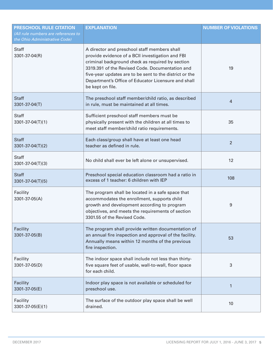| <b>PRESCHOOL RULE CITATION</b><br>(All rule numbers are references to<br>the Ohio Administrative Code) | <b>EXPLANATION</b>                                                                                                                                                                                                                                                                                                                            | <b>NUMBER OF VIOLATIONS</b> |
|--------------------------------------------------------------------------------------------------------|-----------------------------------------------------------------------------------------------------------------------------------------------------------------------------------------------------------------------------------------------------------------------------------------------------------------------------------------------|-----------------------------|
| <b>Staff</b><br>3301-37-04(R)                                                                          | A director and preschool staff members shall<br>provide evidence of a BCII investigation and FBI<br>criminal background check as required by section<br>3319.391 of the Revised Code. Documentation and<br>five-year updates are to be sent to the district or the<br>Department's Office of Educator Licensure and shall<br>be kept on file. | 19                          |
| <b>Staff</b><br>3301-37-04(T)                                                                          | The preschool staff member/child ratio, as described<br>in rule, must be maintained at all times.                                                                                                                                                                                                                                             | $\overline{4}$              |
| <b>Staff</b><br>3301-37-04(T)(1)                                                                       | Sufficient preschool staff members must be<br>physically present with the children at all times to<br>meet staff member/child ratio requirements.                                                                                                                                                                                             | 35                          |
| <b>Staff</b><br>3301-37-04(T)(2)                                                                       | Each class/group shall have at least one head<br>teacher as defined in rule.                                                                                                                                                                                                                                                                  | $\overline{2}$              |
| <b>Staff</b><br>3301-37-04(T)(3)                                                                       | No child shall ever be left alone or unsupervised.                                                                                                                                                                                                                                                                                            | 12                          |
| <b>Staff</b><br>3301-37-04(T)(5)                                                                       | Preschool special education classroom had a ratio in<br>excess of 1 teacher: 6 children with IEP                                                                                                                                                                                                                                              | 108                         |
| Facility<br>3301-37-05(A)                                                                              | The program shall be located in a safe space that<br>accommodates the enrollment, supports child<br>growth and development according to program<br>objectives, and meets the requirements of section<br>3301.55 of the Revised Code.                                                                                                          | 9                           |
| Facility<br>3301-37-05(B)                                                                              | The program shall provide written documentation of<br>an annual fire inspection and approval of the facility.<br>Annually means within 12 months of the previous<br>fire inspection.                                                                                                                                                          | 53                          |
| Facility<br>3301-37-05(D)                                                                              | The indoor space shall include not less than thirty-<br>five square feet of usable, wall-to-wall, floor space<br>for each child.                                                                                                                                                                                                              | 3                           |
| Facility<br>3301-37-05(E)                                                                              | Indoor play space is not available or scheduled for<br>preschool use.                                                                                                                                                                                                                                                                         | $\mathbf{1}$                |
| Facility<br>3301-37-05(E)(1)                                                                           | The surface of the outdoor play space shall be well<br>drained.                                                                                                                                                                                                                                                                               | 10                          |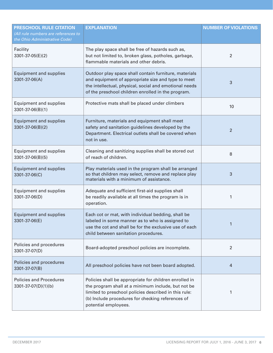| PRESCHOOL RULE CITATION<br>(All rule numbers are references to<br>the Ohio Administrative Code) | <b>EXPLANATION</b>                                                                                                                                                                                                                                 | <b>NUMBER OF VIOLATIONS</b> |
|-------------------------------------------------------------------------------------------------|----------------------------------------------------------------------------------------------------------------------------------------------------------------------------------------------------------------------------------------------------|-----------------------------|
| Facility<br>3301-37-05(E)(2)                                                                    | The play space shall be free of hazards such as,<br>but not limited to, broken glass, potholes, garbage,<br>flammable materials and other debris.                                                                                                  | $\overline{2}$              |
| <b>Equipment and supplies</b><br>3301-37-06(A)                                                  | Outdoor play space shall contain furniture, materials<br>and equipment of appropriate size and type to meet<br>the intellectual, physical, social and emotional needs<br>of the preschool children enrolled in the program.                        | 3                           |
| <b>Equipment and supplies</b><br>3301-37-06(B)(1)                                               | Protective mats shall be placed under climbers                                                                                                                                                                                                     | 10                          |
| <b>Equipment and supplies</b><br>3301-37-06(B)(2)                                               | Furniture, materials and equipment shall meet<br>safety and sanitation guidelines developed by the<br>Department. Electrical outlets shall be covered when<br>not in use.                                                                          | $\overline{2}$              |
| <b>Equipment and supplies</b><br>3301-37-06(B)(5)                                               | Cleaning and sanitizing supplies shall be stored out<br>of reach of children.                                                                                                                                                                      | 8                           |
| <b>Equipment and supplies</b><br>3301-37-06(C)                                                  | Play materials used in the program shall be arranged<br>so that children may select, remove and replace play<br>materials with a minimum of assistance.                                                                                            | 3                           |
| <b>Equipment and supplies</b><br>3301-37-06(D)                                                  | Adequate and sufficient first-aid supplies shall<br>be readily available at all times the program is in<br>operation.                                                                                                                              | 1                           |
| <b>Equipment and supplies</b><br>3301-37-06(E)                                                  | Each cot or mat, with individual bedding, shall be<br>labeled in some manner as to who is assigned to<br>use the cot and shall be for the exclusive use of each<br>child between sanitation procedures.                                            |                             |
| Policies and procedures<br>3301-37-07(D)                                                        | Board-adopted preschool policies are incomplete.                                                                                                                                                                                                   | 2                           |
| Policies and procedures<br>3301-37-07(B)                                                        | All preschool policies have not been board adopted.                                                                                                                                                                                                | 4                           |
| <b>Policies and Procedures</b><br>3301-37-07(D)(1)(b)                                           | Policies shall be appropriate for children enrolled in<br>the program shall at a minimum include, but not be<br>limited to preschool policies described in this rule:<br>(b) Include procedures for checking references of<br>potential employees. | 1                           |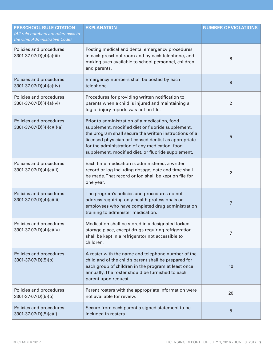| PRESCHOOL RULE CITATION<br>(All rule numbers are references to<br>the Ohio Administrative Code) | <b>EXPLANATION</b>                                                                                                                                                                                                                                                                                                            | <b>NUMBER OF VIOLATIONS</b> |
|-------------------------------------------------------------------------------------------------|-------------------------------------------------------------------------------------------------------------------------------------------------------------------------------------------------------------------------------------------------------------------------------------------------------------------------------|-----------------------------|
| Policies and procedures<br>3301-37-07(D)(4)(a)(iii)                                             | Posting medical and dental emergency procedures<br>in each preschool room and by each telephone, and<br>making such available to school personnel, children<br>and parents.                                                                                                                                                   | 8                           |
| Policies and procedures<br>3301-37-07(D)(4)(a)(iv)                                              | Emergency numbers shall be posted by each<br>telephone.                                                                                                                                                                                                                                                                       | 8                           |
| Policies and procedures<br>3301-37-07(D)(4)(a)(vi)                                              | Procedures for providing written notification to<br>parents when a child is injured and maintaining a<br>log of injury reports was not on file.                                                                                                                                                                               | $\overline{2}$              |
| Policies and procedures<br>$3301-37-07(D)(4)(c)(i)(a)$                                          | Prior to administration of a medication, food<br>supplement, modified diet or fluoride supplement,<br>the program shall secure the written instructions of a<br>licensed physician or licensed dentist as appropriate<br>for the administration of any medication, food<br>supplement, modified diet, or fluoride supplement. | 5                           |
| Policies and procedures<br>3301-37-07(D)(4)(c)(ii)                                              | Each time medication is administered, a written<br>record or log including dosage, date and time shall<br>be made. That record or log shall be kept on file for<br>one year.                                                                                                                                                  | 2                           |
| Policies and procedures<br>3301-37-07(D)(4)(c)(iii)                                             | The program's policies and procedures do not<br>address requiring only health professionals or<br>employees who have completed drug administration<br>training to administer medication.                                                                                                                                      | 7                           |
| Policies and procedures<br>3301-37-07(D)(4)(c)(iv)                                              | Medication shall be stored in a designated locked<br>storage place, except drugs requiring refrigeration<br>shall be kept in a refrigerator not accessible to<br>children.                                                                                                                                                    | 7                           |
| Policies and procedures<br>3301-37-07(D)(5)(b)                                                  | A roster with the name and telephone number of the<br>child and of the child's parent shall be prepared for<br>each group of children in the program at least once<br>annually. The roster should be furnished to each<br>parent upon request.                                                                                | 10                          |
| Policies and procedures<br>3301-37-07(D)(5)(b)                                                  | Parent rosters with the appropriate information were<br>not available for review.                                                                                                                                                                                                                                             | 20                          |
| Policies and procedures<br>3301-37-07(D)(5)(c)(i)                                               | Secure from each parent a signed statement to be<br>included in rosters.                                                                                                                                                                                                                                                      | 5                           |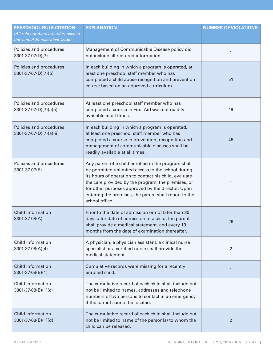| <b>PRESCHOOL RULE CITATION</b><br>(All rule numbers are references to<br>the Ohio Administrative Code) | <b>EXPLANATION</b>                                                                                                                                                                                                                                                                                                                                       | <b>NUMBER OF VIOLATIONS</b> |
|--------------------------------------------------------------------------------------------------------|----------------------------------------------------------------------------------------------------------------------------------------------------------------------------------------------------------------------------------------------------------------------------------------------------------------------------------------------------------|-----------------------------|
| Policies and procedures<br>3301-37-07(D)(7)                                                            | Management of Communicable Disease policy did<br>not include all required information.                                                                                                                                                                                                                                                                   | 1                           |
| Policies and procedures<br>3301-37-07(D)(7)(b)                                                         | In each building in which a program is operated, at<br>least one preschool staff member who has<br>completed a child abuse recognition and prevention<br>course based on an approved curriculum.                                                                                                                                                         | 51                          |
| Policies and procedures<br>$3301-37-07(D)(7)(a)(i)$                                                    | At least one preschool staff member who has<br>completed a course in First Aid was not readily<br>available at all times.                                                                                                                                                                                                                                | 19                          |
| Policies and procedures<br>$3301-37-07(D)(7)(a)(ii)$                                                   | In each building in which a program is operated,<br>at least one preschool staff member who has<br>completed a course in prevention, recognition and<br>management of communicable diseases shall be<br>readily available at all times.                                                                                                                  | 45                          |
| Policies and procedures<br>3301-37-07(E)                                                               | Any parent of a child enrolled in the program shall<br>be permitted unlimited access to the school during<br>its hours of operation to contact his child, evaluate<br>the care provided by the program, the premises, or<br>for other purposes approved by the director. Upon<br>entering the premises, the parent shall report to the<br>school office. | 1                           |
| <b>Child Information</b><br>3301-37-08(A)                                                              | Prior to the date of admission or not later than 30<br>days after date of admission of a child, the parent<br>shall provide a medical statement, and every 13<br>months from the date of examination thereafter.                                                                                                                                         | 29                          |
| <b>Child Information</b><br>3301-37-08(A)(4)                                                           | A physician, a physician assistant, a clinical nurse<br>specialist or a certified nurse shall provide the<br>medical statement.                                                                                                                                                                                                                          | $\overline{2}$              |
| <b>Child Information</b><br>3301-37-08(B)(1)                                                           | Cumulative records were missing for a recently<br>enrolled child.                                                                                                                                                                                                                                                                                        | $\mathbf{1}$                |
| <b>Child Information</b><br>3301-37-08(B)(1)(c)                                                        | The cumulative record of each child shall include but<br>not be limited to names, addresses and telephone<br>numbers of two persons to contact in an emergency<br>if the parent cannot be located.                                                                                                                                                       | 1                           |
| <b>Child Information</b><br>3301-37-08(B)(1)(d)                                                        | The cumulative record of each child shall include but<br>not be limited to name of the person(s) to whom the<br>child can be released.                                                                                                                                                                                                                   | $\overline{2}$              |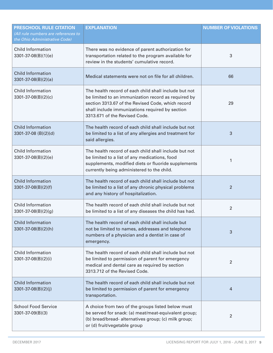| <b>PRESCHOOL RULE CITATION</b><br>(All rule numbers are references to<br>the Ohio Administrative Code) | <b>EXPLANATION</b>                                                                                                                                                                                                                                    | <b>NUMBER OF VIOLATIONS</b> |
|--------------------------------------------------------------------------------------------------------|-------------------------------------------------------------------------------------------------------------------------------------------------------------------------------------------------------------------------------------------------------|-----------------------------|
| <b>Child Information</b><br>$3301 - 37 - 08(B)(1)(e)$                                                  | There was no evidence of parent authorization for<br>transportation related to the program available for<br>review in the students' cumulative record.                                                                                                | 3                           |
| <b>Child Information</b><br>$3301 - 37 - 08(B)(2)(a)$                                                  | Medical statements were not on file for all children.                                                                                                                                                                                                 | 66                          |
| <b>Child Information</b><br>$3301 - 37 - 08(B)(2)(c)$                                                  | The health record of each child shall include but not<br>be limited to an immunization record as required by<br>section 3313.67 of the Revised Code, which record<br>shall include immunizations required by section<br>3313.671 of the Revised Code. | 29                          |
| <b>Child Information</b><br>3301-37-08 (B)(2)(d)                                                       | The health record of each child shall include but not<br>be limited to a list of any allergies and treatment for<br>said allergies.                                                                                                                   | 3                           |
| <b>Child Information</b><br>$3301 - 37 - 08(B)(2)(e)$                                                  | The health record of each child shall include but not<br>be limited to a list of any medications, food<br>supplements, modified diets or fluoride supplements<br>currently being administered to the child.                                           | 1                           |
| <b>Child Information</b><br>3301-37-08(B)(2)(f)                                                        | The health record of each child shall include but not<br>be limited to a list of any chronic physical problems<br>and any history of hospitalization.                                                                                                 | 2                           |
| <b>Child Information</b><br>$3301 - 37 - 08(B)(2)(g)$                                                  | The health record of each child shall include but not<br>be limited to a list of any diseases the child has had.                                                                                                                                      | $\overline{2}$              |
| <b>Child Information</b><br>3301-37-08(B)(2)(h)                                                        | The health record of each child shall include but<br>not be limited to names, addresses and telephone<br>numbers of a physician and a dentist in case of<br>emergency.                                                                                | 3                           |
| <b>Child Information</b><br>3301-37-08(B)(2)(i)                                                        | The health record of each child shall include but not<br>be limited to permission of parent for emergency<br>medical and dental care as required by section<br>3313.712 of the Revised Code.                                                          | 2                           |
| <b>Child Information</b><br>3301-37-08(B)(2)(j)                                                        | The health record of each child shall include but not<br>be limited to permission of parent for emergency<br>transportation.                                                                                                                          | 4                           |
| <b>School Food Service</b><br>3301-37-09(B)(3)                                                         | A choice from two of the groups listed below must<br>be served for snack: (a) meat/meat-equivalent group;<br>(b) bread/bread- alternatives group; (c) milk group;<br>or (d) fruit/vegetable group                                                     | 2                           |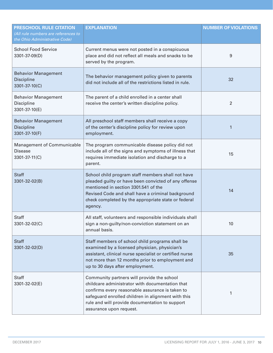| <b>PRESCHOOL RULE CITATION</b><br>(All rule numbers are references to<br>the Ohio Administrative Code) | <b>EXPLANATION</b>                                                                                                                                                                                                                                                                  | <b>NUMBER OF VIOLATIONS</b> |
|--------------------------------------------------------------------------------------------------------|-------------------------------------------------------------------------------------------------------------------------------------------------------------------------------------------------------------------------------------------------------------------------------------|-----------------------------|
| <b>School Food Service</b><br>3301-37-09(D)                                                            | Current menus were not posted in a conspicuous<br>place and did not reflect all meals and snacks to be<br>served by the program.                                                                                                                                                    | 9                           |
| <b>Behavior Management</b><br><b>Discipline</b><br>3301-37-10(C)                                       | The behavior management policy given to parents<br>did not include all of the restrictions listed in rule.                                                                                                                                                                          | 32                          |
| <b>Behavior Management</b><br>Discipline<br>3301-37-10(E)                                              | The parent of a child enrolled in a center shall<br>receive the center's written discipline policy.                                                                                                                                                                                 | $\overline{2}$              |
| <b>Behavior Management</b><br><b>Discipline</b><br>3301-37-10(F)                                       | All preschool staff members shall receive a copy<br>of the center's discipline policy for review upon<br>employment.                                                                                                                                                                | $\mathbf{1}$                |
| <b>Management of Communicable</b><br><b>Disease</b><br>3301-37-11(C)                                   | The program communicable disease policy did not<br>include all of the signs and symptoms of illness that<br>requires immediate isolation and discharge to a<br>parent.                                                                                                              | 15                          |
| <b>Staff</b><br>3301-32-02(B)                                                                          | School child program staff members shall not have<br>pleaded guilty or have been convicted of any offense<br>mentioned in section 3301.541 of the<br>Revised Code and shall have a criminal background<br>check completed by the appropriate state or federal<br>agency.            | 14                          |
| <b>Staff</b><br>3301-32-02(C)                                                                          | All staff, volunteers and responsible individuals shall<br>sign a non-guilty/non-conviction statement on an<br>annual basis.                                                                                                                                                        | 10                          |
| <b>Staff</b><br>3301-32-02(D)                                                                          | Staff members of school child programs shall be<br>examined by a licensed physician, physician's<br>assistant, clinical nurse specialist or certified nurse<br>not more than 12 months prior to employment and<br>up to 30 days after employment.                                   | 35                          |
| <b>Staff</b><br>3301-32-02(E)                                                                          | Community partners will provide the school<br>childcare administrator with documentation that<br>confirms every reasonable assurance is taken to<br>safeguard enrolled children in alignment with this<br>rule and will provide documentation to support<br>assurance upon request. | 1                           |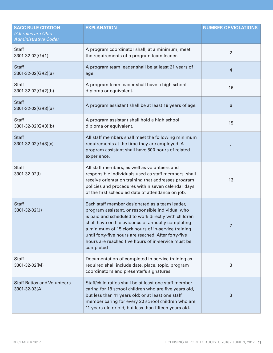| <b>SACC RULE CITATION</b><br>(All rules are Ohio<br>Administrative Code) | <b>EXPLANATION</b>                                                                                                                                                                                                                                                                                                                                                                                | <b>NUMBER OF VIOLATIONS</b> |
|--------------------------------------------------------------------------|---------------------------------------------------------------------------------------------------------------------------------------------------------------------------------------------------------------------------------------------------------------------------------------------------------------------------------------------------------------------------------------------------|-----------------------------|
| Staff<br>3301-32-02(G)(1)                                                | A program coordinator shall, at a minimum, meet<br>the requirements of a program team leader.                                                                                                                                                                                                                                                                                                     | $\overline{2}$              |
| <b>Staff</b><br>$3301 - 32 - 02(G)(2)(a)$                                | A program team leader shall be at least 21 years of<br>age.                                                                                                                                                                                                                                                                                                                                       | $\overline{4}$              |
| <b>Staff</b><br>3301-32-02(G)(2)(b)                                      | A program team leader shall have a high school<br>diploma or equivalent.                                                                                                                                                                                                                                                                                                                          | 16                          |
| <b>Staff</b><br>$3301 - 32 - 02(G)(3)(a)$                                | A program assistant shall be at least 18 years of age.                                                                                                                                                                                                                                                                                                                                            | 6                           |
| <b>Staff</b><br>3301-32-02(G)(3)(b)                                      | A program assistant shall hold a high school<br>diploma or equivalent.                                                                                                                                                                                                                                                                                                                            | 15                          |
| <b>Staff</b><br>$3301 - 32 - 02(G)(3)(c)$                                | All staff members shall meet the following minimum<br>requirements at the time they are employed. A<br>program assistant shall have 500 hours of related<br>experience.                                                                                                                                                                                                                           | 1                           |
| <b>Staff</b><br>3301-32-02(I)                                            | All staff members, as well as volunteers and<br>responsible individuals used as staff members, shall<br>receive orientation training that addresses program<br>policies and procedures within seven calendar days<br>of the first scheduled date of attendance on job.                                                                                                                            | 13                          |
| <b>Staff</b><br>3301-32-02(J)                                            | Each staff member designated as a team leader,<br>program assistant, or responsible individual who<br>is paid and scheduled to work directly with children<br>shall have on file evidence of annually completing<br>a minimum of 15 clock hours of in-service training<br>until forty-five hours are reached. After forty-five<br>hours are reached five hours of in-service must be<br>completed | 7                           |
| Staff<br>3301-32-02(M)                                                   | Documentation of completed in-service training as<br>required shall include date, place, topic, program<br>coordinator's and presenter's signatures.                                                                                                                                                                                                                                              | 3                           |
| <b>Staff Ratios and Volunteers</b><br>3301-32-03(A)                      | Staff/child ratios shall be at least one staff member<br>caring for 18 school children who are five years old,<br>but less than 11 years old; or at least one staff<br>member caring for every 20 school children who are<br>11 years old or old, but less than fifteen years old.                                                                                                                | 3                           |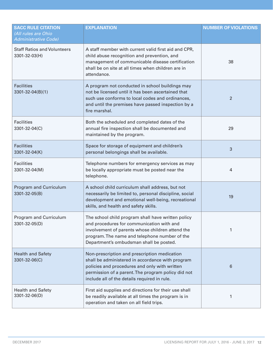| <b>SACC RULE CITATION</b><br>(All rules are Ohio<br><b>Administrative Code)</b> | <b>EXPLANATION</b>                                                                                                                                                                                                                                      | <b>NUMBER OF VIOLATIONS</b> |
|---------------------------------------------------------------------------------|---------------------------------------------------------------------------------------------------------------------------------------------------------------------------------------------------------------------------------------------------------|-----------------------------|
| <b>Staff Ratios and Volunteers</b><br>3301-32-03(H)                             | A staff member with current valid first aid and CPR,<br>child abuse recognition and prevention, and<br>management of communicable disease certification<br>shall be on site at all times when children are in<br>attendance.                            | 38                          |
| <b>Facilities</b><br>3301-32-04(B)(1)                                           | A program not conducted in school buildings may<br>not be licensed until it has been ascertained that<br>such use conforms to local codes and ordinances,<br>and until the premises have passed inspection by a<br>fire marshal.                        | 2                           |
| <b>Facilities</b><br>3301-32-04(C)                                              | Both the scheduled and completed dates of the<br>annual fire inspection shall be documented and<br>maintained by the program.                                                                                                                           | 29                          |
| <b>Facilities</b><br>3301-32-04(K)                                              | Space for storage of equipment and children's<br>personal belongings shall be available.                                                                                                                                                                | 3                           |
| <b>Facilities</b><br>3301-32-04(M)                                              | Telephone numbers for emergency services as may<br>be locally appropriate must be posted near the<br>telephone.                                                                                                                                         | 4                           |
| Program and Curriculum<br>3301-32-05(B)                                         | A school child curriculum shall address, but not<br>necessarily be limited to, personal discipline, social<br>development and emotional well-being, recreational<br>skills, and health and safety skills.                                               | 19                          |
| Program and Curriculum<br>3301-32-05(D)                                         | The school child program shall have written policy<br>and procedures for communication with and<br>involvement of parents whose children attend the<br>program. The name and telephone number of the<br>Department's ombudsman shall be posted.         | 1                           |
| <b>Health and Safety</b><br>3301-32-06(C)                                       | Non-prescription and prescription medication<br>shall be administered in accordance with program<br>policies and procedures and only with written<br>permission of a parent. The program policy did not<br>include all of the details required in rule. | 6                           |
| <b>Health and Safety</b><br>3301-32-06(D)                                       | First aid supplies and directions for their use shall<br>be readily available at all times the program is in<br>operation and taken on all field trips.                                                                                                 | 1                           |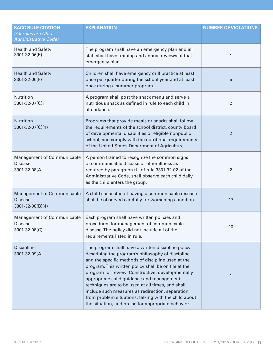| <b>SACC RULE CITATION</b><br>(All rules are Ohio<br>Administrative Code) | <b>EXPLANATION</b>                                                                                                                                                                                                                                                                                                                                                                                                                                                                                                                               | <b>NUMBER OF VIOLATIONS</b> |
|--------------------------------------------------------------------------|--------------------------------------------------------------------------------------------------------------------------------------------------------------------------------------------------------------------------------------------------------------------------------------------------------------------------------------------------------------------------------------------------------------------------------------------------------------------------------------------------------------------------------------------------|-----------------------------|
| <b>Health and Safety</b><br>3301-32-06(E)                                | The program shall have an emergency plan and all<br>staff shall have training and annual reviews of that<br>emergency plan.                                                                                                                                                                                                                                                                                                                                                                                                                      | 1                           |
| <b>Health and Safety</b><br>3301-32-06(F)                                | Children shall have emergency drill practice at least<br>once per quarter during the school year and at least<br>once during a summer program.                                                                                                                                                                                                                                                                                                                                                                                                   | 5                           |
| Nutrition<br>3301-32-07(C)1                                              | A program shall post the snack menu and serve a<br>nutritious snack as defined in rule to each child in<br>attendance.                                                                                                                                                                                                                                                                                                                                                                                                                           | $\overline{2}$              |
| <b>Nutrition</b><br>3301-32-07(C)(1)                                     | Programs that provide meals or snacks shall follow<br>the requirements of the school district, county board<br>of developmental disabilities or eligible nonpublic<br>school, and comply with the nutritional requirements<br>of the United States Department of Agriculture.                                                                                                                                                                                                                                                                    | $\overline{2}$              |
| <b>Management of Communicable</b><br><b>Disease</b><br>3301-32-08(A)     | A person trained to recognize the common signs<br>of communicable disease or other illness as<br>required by paragraph (L) of rule 3301-32-02 of the<br>Administrative Code, shall observe each child daily<br>as the child enters the group.                                                                                                                                                                                                                                                                                                    | $\overline{2}$              |
| <b>Management of Communicable</b><br><b>Disease</b><br>3301-32-08(B)(4)  | A child suspected of having a communicable disease<br>shall be observed carefully for worsening condition.                                                                                                                                                                                                                                                                                                                                                                                                                                       | 17                          |
| Management of Communicable<br>Disease<br>3301-32-08(C)                   | Each program shall have written policies and<br>procedures for management of communicable<br>disease. The policy did not include all of the<br>requirements listed in rule.                                                                                                                                                                                                                                                                                                                                                                      | 10                          |
| <b>Discipline</b><br>3301-32-09(A)                                       | The program shall have a written discipline policy<br>describing the program's philosophy of discipline<br>and the specific methods of discipline used at the<br>program. This written policy shall be on file at the<br>program for review. Constructive, developmentally<br>appropriate child guidance and management<br>techniques are to be used at all times, and shall<br>include such measures as redirection, separation<br>from problem situations, talking with the child about<br>the situation, and praise for appropriate behavior. | 1                           |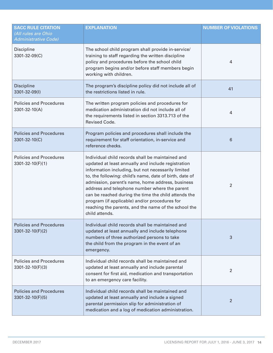| <b>SACC RULE CITATION</b><br>All rules are Ohio<br>Administrative Code) | <b>EXPLANATION</b>                                                                                                                                                                                                                                                                                                                                                                                                                                                                                              | <b>NUMBER OF VIOLATIONS</b> |
|-------------------------------------------------------------------------|-----------------------------------------------------------------------------------------------------------------------------------------------------------------------------------------------------------------------------------------------------------------------------------------------------------------------------------------------------------------------------------------------------------------------------------------------------------------------------------------------------------------|-----------------------------|
| Discipline<br>3301-32-09(C)                                             | The school child program shall provide in-service/<br>training to staff regarding the written discipline<br>policy and procedures before the school child<br>program begins and/or before staff members begin<br>working with children.                                                                                                                                                                                                                                                                         | 4                           |
| <b>Discipline</b><br>3301-32-09(I)                                      | The program's discipline policy did not include all of<br>the restrictions listed in rule.                                                                                                                                                                                                                                                                                                                                                                                                                      | 41                          |
| <b>Policies and Procedures</b><br>3301-32-10(A)                         | The written program policies and procedures for<br>medication administration did not include all of<br>the requirements listed in section 3313.713 of the<br>Revised Code.                                                                                                                                                                                                                                                                                                                                      | 4                           |
| <b>Policies and Procedures</b><br>3301-32-10(C)                         | Program policies and procedures shall include the<br>requirement for staff orientation, in-service and<br>reference checks.                                                                                                                                                                                                                                                                                                                                                                                     | 6                           |
| <b>Policies and Procedures</b><br>3301-32-10(F)(1)                      | Individual child records shall be maintained and<br>updated at least annually and include registration<br>information including, but not necessarily limited<br>to, the following: child's name, date of birth, date of<br>admission, parent's name, home address, business<br>address and telephone number where the parent<br>can be reached during the time the child attends the<br>program (if applicable) and/or procedures for<br>reaching the parents, and the name of the school the<br>child attends. | 2                           |
| <b>Policies and Procedures</b><br>3301-32-10(F)(2)                      | Individual child records shall be maintained and<br>updated at least annually and include telephone<br>numbers of three authorized persons to take<br>the child from the program in the event of an<br>emergency.                                                                                                                                                                                                                                                                                               | 3                           |
| <b>Policies and Procedures</b><br>3301-32-10(F)(3)                      | Individual child records shall be maintained and<br>updated at least annually and include parental<br>consent for first aid, medication and transportation<br>to an emergency care facility.                                                                                                                                                                                                                                                                                                                    | 2                           |
| <b>Policies and Procedures</b><br>3301-32-10(F)(5)                      | Individual child records shall be maintained and<br>updated at least annually and include a signed<br>parental permission slip for administration of<br>medication and a log of medication administration.                                                                                                                                                                                                                                                                                                      | $\overline{2}$              |